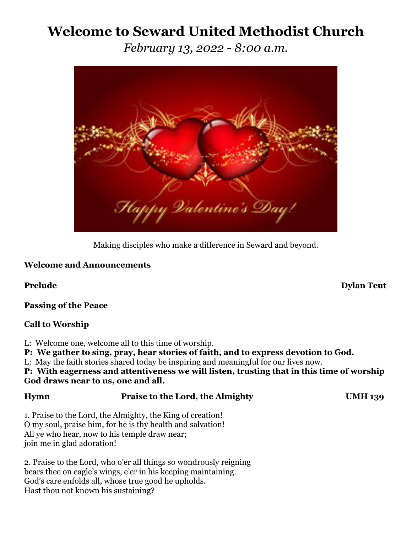# **Welcome to Seward United Methodist Church**

*February 13, 2022 - 8:00 a.m.*



Making disciples who make a difference in Seward and beyond.

#### **Welcome and Announcements**

**Passing of the Peace**

### **Call to Worship**

- L: Welcome one, welcome all to this time of worship.
- **P: We gather to sing, pray, hear stories of faith, and to express devotion to God.**
- L: May the faith stories shared today be inspiring and meaningful for our lives now.

#### **P: With eagerness and attentiveness we will listen, trusting that in this time of worship God draws near to us, one and all.**

### **Hymn Praise to the Lord, the Almighty UMH 139**

1. Praise to the Lord, the Almighty, the King of creation! O my soul, praise him, for he is thy health and salvation! All ye who hear, now to his temple draw near; join me in glad adoration!

2. Praise to the Lord, who o'er all things so wondrously reigning bears thee on eagle's wings, e'er in his keeping maintaining. God's care enfolds all, whose true good he upholds. Hast thou not known his sustaining?

**Prelude** Dylan Teut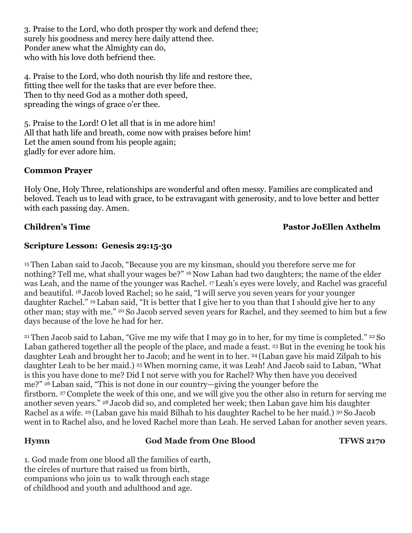3. Praise to the Lord, who doth prosper thy work and defend thee; surely his goodness and mercy here daily attend thee. Ponder anew what the Almighty can do, who with his love doth befriend thee.

4. Praise to the Lord, who doth nourish thy life and restore thee, fitting thee well for the tasks that are ever before thee. Then to thy need God as a mother doth speed, spreading the wings of grace o'er thee.

5. Praise to the Lord! O let all that is in me adore him! All that hath life and breath, come now with praises before him! Let the amen sound from his people again; gladly for ever adore him.

#### **Common Prayer**

Holy One, Holy Three, relationships are wonderful and often messy. Families are complicated and beloved. Teach us to lead with grace, to be extravagant with generosity, and to love better and better with each passing day. Amen.

#### **Children's Time Pastor JoEllen Axthelm**

#### **Scripture Lesson: Genesis 29:15-30**

<sup>15</sup> Then Laban said to Jacob, "Because you are my kinsman, should you therefore serve me for nothing? Tell me, what shall your wages be?" <sup>16</sup> Now Laban had two daughters; the name of the elder was Leah, and the name of the younger was Rachel. <sup>17</sup> Leah's eyes were lovely, and Rachel was graceful and beautiful. <sup>18</sup> Jacob loved Rachel; so he said, "I will serve you seven years for your younger daughter Rachel." <sup>19</sup> Laban said, "It is better that I give her to you than that I should give her to any other man; stay with me." <sup>20</sup> So Jacob served seven years for Rachel, and they seemed to him but a few days because of the love he had for her.

<sup>21</sup> Then Jacob said to Laban, "Give me my wife that I may go in to her, for my time is completed." <sup>22</sup> So Laban gathered together all the people of the place, and made a feast. 23 But in the evening he took his daughter Leah and brought her to Jacob; and he went in to her. <sup>24</sup> (Laban gave his maid Zilpah to his daughter Leah to be her maid.) 25When morning came, it was Leah! And Jacob said to Laban, "What is this you have done to me? Did I not serve with you for Rachel? Why then have you deceived me?" <sup>26</sup> Laban said, "This is not done in our country—giving the younger before the firstborn. <sup>27</sup> Complete the week of this one, and we will give you the other also in return for serving me another seven years." <sup>28</sup> Jacob did so, and completed her week; then Laban gave him his daughter Rachel as a wife. <sup>29</sup> (Laban gave his maid Bilhah to his daughter Rachel to be her maid.) <sup>30</sup> So Jacob went in to Rachel also, and he loved Rachel more than Leah. He served Laban for another seven years.

### **Hymn God Made from One Blood TFWS 2170**

1. God made from one blood all the families of earth, the circles of nurture that raised us from birth, companions who join us to walk through each stage of childhood and youth and adulthood and age.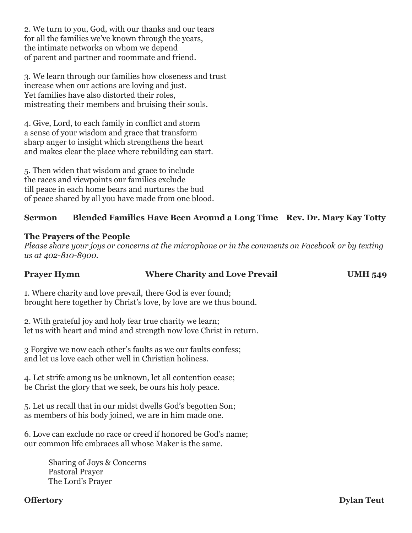2. We turn to you, God, with our thanks and our tears for all the families we've known through the years, the intimate networks on whom we depend of parent and partner and roommate and friend.

3. We learn through our families how closeness and trust increase when our actions are loving and just. Yet families have also distorted their roles, mistreating their members and bruising their souls.

4. Give, Lord, to each family in conflict and storm a sense of your wisdom and grace that transform sharp anger to insight which strengthens the heart and makes clear the place where rebuilding can start.

5. Then widen that wisdom and grace to include the races and viewpoints our families exclude till peace in each home bears and nurtures the bud of peace shared by all you have made from one blood.

#### **Sermon Blended Families Have Been Around a Long Time Rev. Dr. Mary Kay Totty**

#### **The Prayers of the People**

*Please share your joys or concerns at the microphone or in the comments on Facebook or by texting us at 402-810-8900.*

### **Prayer Hymn Where Charity and Love Prevail UMH 549**

1. Where charity and love prevail, there God is ever found; brought here together by Christ's love, by love are we thus bound.

2. With grateful joy and holy fear true charity we learn; let us with heart and mind and strength now love Christ in return.

3 Forgive we now each other's faults as we our faults confess; and let us love each other well in Christian holiness.

4. Let strife among us be unknown, let all contention cease; be Christ the glory that we seek, be ours his holy peace.

5. Let us recall that in our midst dwells God's begotten Son; as members of his body joined, we are in him made one.

6. Love can exclude no race or creed if honored be God's name; our common life embraces all whose Maker is the same.

> Sharing of Joys & Concerns Pastoral Prayer The Lord's Prayer